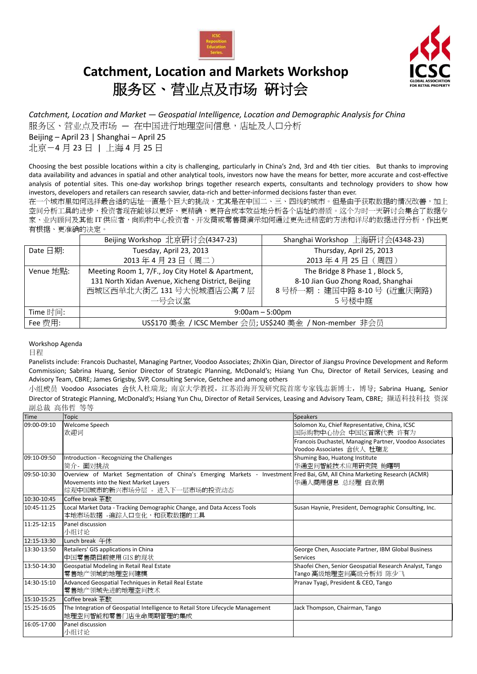

## **Catchment, Location and Markets Workshop** 服务区、营业点及市场 研讨会



*Catchment, Location and Market — Geospatial Intelligence, Location and Demographic Analysis for China*

服务区、营业点及市场 — 在中国进行地理空间信息,店址及人口分析

Beijing – April 23 | Shanghai – April 25 北京-4 月 23 日 | 上海 4 月 25 日

Choosing the best possible locations within a city is challenging, particularly in China's 2nd, 3rd and 4th tier cities. But thanks to improving data availability and advances in spatial and other analytical tools, investors now have the means for better, more accurate and cost-effective analysis of potential sites. This one-day workshop brings together research experts, consultants and technology providers to show how investors, developers and retailers can research savvier, data-rich and better-informed decisions faster than ever.

在一个城市里如何选择最合适的店址一直是个巨大的挑战,尤其是在中国二、三、四线的城市。但是由于获取数据的情况改善,加上 空间分析工具的进步,投资者现在能够以更好、更精确、更符合成本效益地分析各个店址的潜质。这个为时一天研讨会集合了数据专 家、业内顾问及其他 IT 供应者,向购物中心投资者、开发商或零售商演示如何通过更先进精密的方法和详尽的数据进行分析,作出更 有根据、更准确的决定。

|                   | Beijing Workshop 北京研讨会(4347-23)                          | Shanghai Workshop 上海研讨会(4348-23)   |  |  |  |
|-------------------|----------------------------------------------------------|------------------------------------|--|--|--|
| Date $\boxdot$ 期: | Tuesday, April 23, 2013                                  | Thursday, April 25, 2013           |  |  |  |
|                   | 2013年4月23日 (周二)                                          | 2013年4月25日(周四)                     |  |  |  |
| Venue 地點:         | Meeting Room 1, 7/F., Joy City Hotel & Apartment,        | The Bridge 8 Phase 1, Block 5,     |  |  |  |
|                   | 131 North Xidan Avenue, Xicheng District, Beijing        | 8-10 Jian Guo Zhong Road, Shanghai |  |  |  |
|                   | 西城区西单北大街乙 131号大悦城酒店公寓7层                                  | 8号桥一期: 建国中路 8-10号 (近重庆南路)          |  |  |  |
|                   | 一号会议室                                                    | 5号楼中庭                              |  |  |  |
| Time 时间:          | $9:00am - 5:00pm$                                        |                                    |  |  |  |
| Fee 费用:           | US\$170 美金 / ICSC Member 会员; US\$240 美金 / Non-member 非会员 |                                    |  |  |  |

Workshop Agenda

日程

Panelists include: Francois Duchastel, Managing Partner, Voodoo Associates; ZhiXin Qian, Director of Jiangsu Province Development and Reform Commission; Sabrina Huang, Senior Director of Strategic Planning, McDonald's; Hsiang Yun Chu, Director of Retail Services, Leasing and Advisory Team, CBRE; James Grigsby, SVP, Consulting Service, Getchee and among others

小组成员 Voodoo Associates 合伙人杜瑞龙; 南京大学教授,江苏沿海开发研究院首席专家钱志新博士, 博导; Sabrina Huang, Senior Director of Strategic Planning, McDonald's; Hsiang Yun Chu, Director of Retail Services, Leasing and Advisory Team, CBRE; 撷适科技科技 资深 副总裁 高伟哲 等等

| <b>Time</b> | <b>Topic</b>                                                                                                               | <b>Speakers</b>                                         |
|-------------|----------------------------------------------------------------------------------------------------------------------------|---------------------------------------------------------|
| 09:00-09:10 | Welcome Speech                                                                                                             | Solomon Xu, Chief Representative, China, ICSC           |
|             | 欢迎词                                                                                                                        | 国际购物中心协会 中国区首席代表 许有为                                    |
|             |                                                                                                                            | Francois Duchastel, Managing Partner, Voodoo Associates |
|             |                                                                                                                            | Voodoo Associates 合伙人 杜瑞龙                               |
| 09:10-09:50 | Introduction - Recognizing the Challenges                                                                                  | Shuming Bao, Huatong Institute                          |
|             | 简介- 面对挑战                                                                                                                   | 华通空间智能技术应用研究院 鲍曙明                                       |
| 09:50-10:30 | Overview of Market Segmentation of China's Emerging Markets - Investment Fred Bai, GM, All China Marketing Research (ACMR) |                                                         |
|             | Movements into the Next Market Layers                                                                                      | 华通人商用信息 总经理 白欢朋                                         |
|             | 综观中国城市的新兴市场分层 - 进入下一层市场的投资动态                                                                                               |                                                         |
| 10:30-10:45 | Coffee break 茶歇                                                                                                            |                                                         |
| 10:45-11:25 | Local Market Data - Tracking Demographic Change, and Data Access Tools                                                     | Susan Haynie, President, Demographic Consulting, Inc.   |
|             | 本地市场数据 -追踪人口变化,和获取数据的工具                                                                                                    |                                                         |
| 11:25-12:15 | Panel discussion                                                                                                           |                                                         |
|             | 小组讨论                                                                                                                       |                                                         |
| 12:15-13:30 | Lunch break 午休                                                                                                             |                                                         |
| 13:30-13:50 | Retailers' GIS applications in China                                                                                       | George Chen, Associate Partner, IBM Global Business     |
|             | 中国零售商目前使用 GIS 的现状                                                                                                          | <b>Services</b>                                         |
| 13:50-14:30 | Geospatial Modeling in Retail Real Estate                                                                                  | Shaofei Chen, Senior Geospatial Research Analyst, Tango |
|             | 零售地产领域的地理空间建模                                                                                                              | Tango 高级地理空间高级分析师 陈少飞                                   |
| 14:30-15:10 | Advanced Geospatial Techniques in Retail Real Estate                                                                       | Pranav Tyagi, President & CEO, Tango                    |
|             | 零售地产领域先进的地理空间技术                                                                                                            |                                                         |
| 15:10-15:25 | Coffee break 茶歇                                                                                                            |                                                         |
| 15:25-16:05 | The Integration of Geospatial Intelligence to Retail Store Lifecycle Management                                            | Jack Thompson, Chairman, Tango                          |
|             | 地理空间智能和零售门店生命周期管理的集成                                                                                                       |                                                         |
| 16:05-17:00 | Panel discussion                                                                                                           |                                                         |
|             | 小组讨论                                                                                                                       |                                                         |